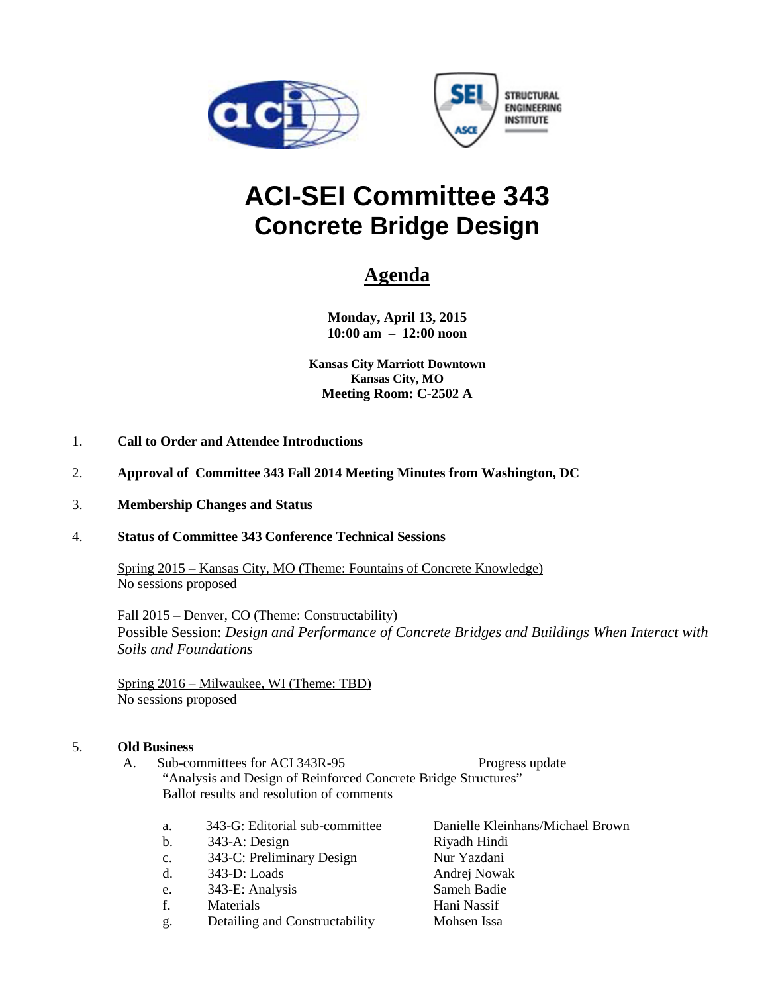

# **ACI-SEI Committee 343 Concrete Bridge Design**

## **Agenda**

**Monday, April 13, 2015 10:00 am – 12:00 noon**

**Kansas City Marriott Downtown Kansas City, MO Meeting Room: C-2502 A**

- 1. **Call to Order and Attendee Introductions**
- 2. **Approval of Committee 343 Fall 2014 Meeting Minutes from Washington, DC**
- 3. **Membership Changes and Status**

#### 4. **Status of Committee 343 Conference Technical Sessions**

Spring 2015 – Kansas City, MO (Theme: Fountains of Concrete Knowledge) No sessions proposed

Fall 2015 – Denver, CO (Theme: Constructability) Possible Session: *Design and Performance of Concrete Bridges and Buildings When Interact with Soils and Foundations*

Spring 2016 – Milwaukee, WI (Theme: TBD) No sessions proposed

#### 5. **Old Business**

- A. Sub-committees for ACI 343R-95 Progress update "Analysis and Design of Reinforced Concrete Bridge Structures" Ballot results and resolution of comments
	- a. 343-G: Editorial sub-committee Danielle Kleinhans/Michael Brown
	- b. 343-A: Design Riyadh Hindi
	- c. 343-C: Preliminary Design Nur Yazdani
	- d. 343-D: Loads Andrej Nowak
	- e. 343-E: Analysis Sameh Badie
	- f. Materials Hani Nassif
	- g. Detailing and Constructability Mohsen Issa
-